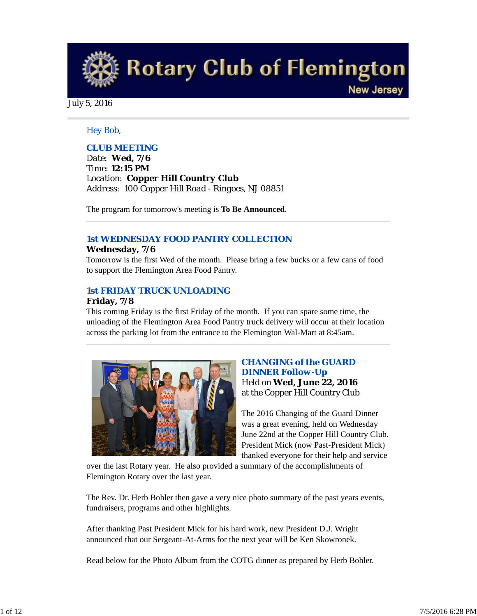**Rotary Club of Flemington** 

**New Jersey** 

July 5, 2016

### *Hey Bob,*

## *CLUB MEETING*

*Date: Wed, 7/6 Time: 12:15 PM Location: Copper Hill Country Club Address: 100 Copper Hill Road - Ringoes, NJ 08851*

The program for tomorrow's meeting is **To Be Announced**.

## *1st WEDNESDAY FOOD PANTRY COLLECTION*

#### **Wednesday, 7/6**

Tomorrow is the first Wed of the month. Please bring a few bucks or a few cans of food to support the Flemington Area Food Pantry.

## *1st FRIDAY TRUCK UNLOADING*

#### **Friday, 7/8**

This coming Friday is the first Friday of the month. If you can spare some time, the unloading of the Flemington Area Food Pantry truck delivery will occur at their location across the parking lot from the entrance to the Flemington Wal-Mart at 8:45am.



## *CHANGING of the GUARD DINNER Follow-Up* Held on **Wed, June 22, 2016** at the Copper Hill Country Club

The 2016 Changing of the Guard Dinner was a great evening, held on Wednesday June 22nd at the Copper Hill Country Club. President Mick (now Past-President Mick) thanked everyone for their help and service

over the last Rotary year. He also provided a summary of the accomplishments of Flemington Rotary over the last year.

The Rev. Dr. Herb Bohler then gave a very nice photo summary of the past years events, fundraisers, programs and other highlights.

After thanking Past President Mick for his hard work, new President D.J. Wright announced that our Sergeant-At-Arms for the next year will be Ken Skowronek.

Read below for the Photo Album from the COTG dinner as prepared by Herb Bohler.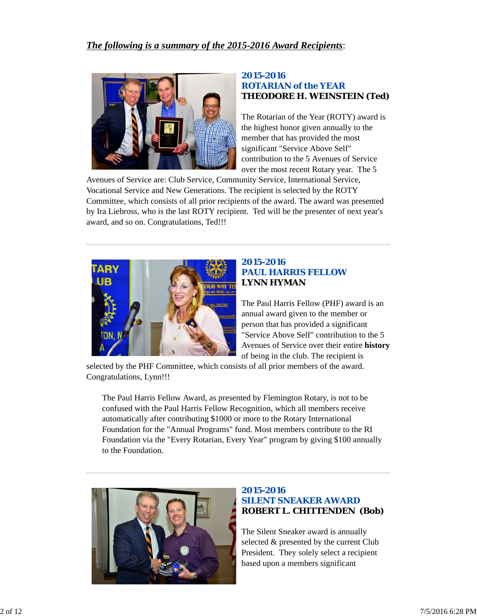

### *2015-2016 ROTARIAN of the YEAR* **THEODORE H. WEINSTEIN (Ted)**

The Rotarian of the Year (ROTY) award is the highest honor given annually to the member that has provided the most significant "Service Above Self" contribution to the 5 Avenues of Service over the most recent Rotary year. The 5

Avenues of Service are: Club Service, Community Service, International Service, Vocational Service and New Generations. The recipient is selected by the ROTY Committee, which consists of all prior recipients of the award. The award was presented by Ira Liebross, who is the last ROTY recipient. Ted will be the presenter of next year's award, and so on. Congratulations, Ted!!!



## *2015-2016 PAUL HARRIS FELLOW* **LYNN HYMAN**

The Paul Harris Fellow (PHF) award is an annual award given to the member or person that has provided a significant "Service Above Self" contribution to the 5 Avenues of Service over their entire **history** of being in the club. The recipient is

selected by the PHF Committee, which consists of all prior members of the award. Congratulations, Lynn!!!

The Paul Harris Fellow Award, as presented by Flemington Rotary, is not to be confused with the Paul Harris Fellow Recognition, which all members receive automatically after contributing \$1000 or more to the Rotary International Foundation for the "Annual Programs" fund. Most members contribute to the RI Foundation via the "Every Rotarian, Every Year" program by giving \$100 annually to the Foundation.



## *2015-2016 SILENT SNEAKER AWARD* **ROBERT L. CHITTENDEN (Bob)**

The Silent Sneaker award is annually selected & presented by the current Club President. They solely select a recipient based upon a members significant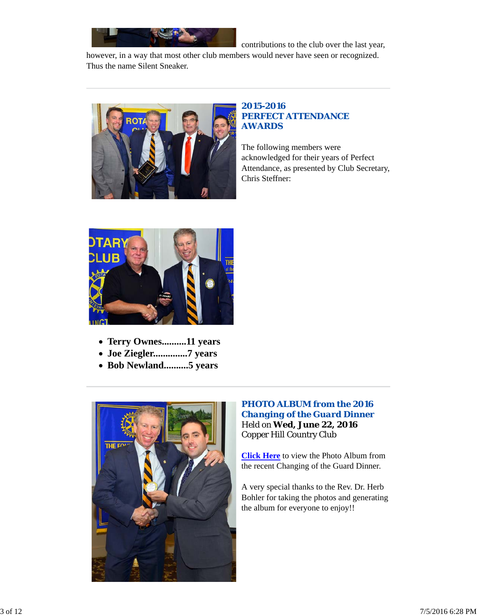

contributions to the club over the last year,

however, in a way that most other club members would never have seen or recognized. Thus the name Silent Sneaker.



## *2015-2016 PERFECT ATTENDANCE AWARDS*

The following members were acknowledged for their years of Perfect Attendance, as presented by Club Secretary, Chris Steffner:



- **Terry Ownes..........11 years**
- **Joe Ziegler..............7 years**
- **Bob Newland..........5 years**



## *PHOTO ALBUM from the 2016 Changing of the Guard Dinner* Held on **Wed, June 22, 2016** Copper Hill Country Club

**Click Here** to view the Photo Album from the recent Changing of the Guard Dinner.

A very special thanks to the Rev. Dr. Herb Bohler for taking the photos and generating the album for everyone to enjoy!!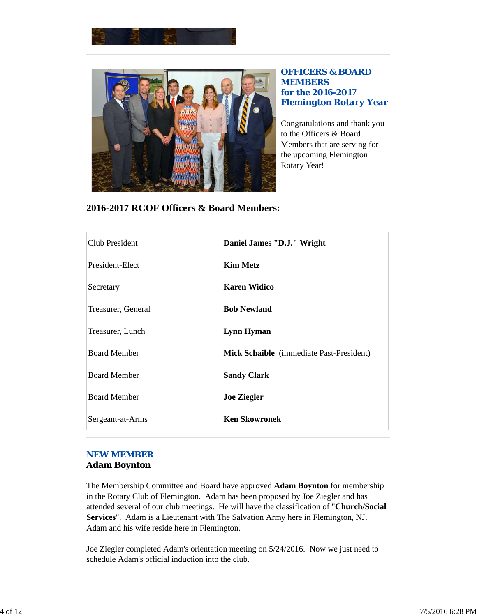



*OFFICERS & BOARD MEMBERS for the 2016-2017 Flemington Rotary Year*

Congratulations and thank you to the Officers & Board Members that are serving for the upcoming Flemington Rotary Year!

| 2016-2017 RCOF Officers & Board Members: |  |
|------------------------------------------|--|
|------------------------------------------|--|

| Club President      | Daniel James "D.J." Wright               |
|---------------------|------------------------------------------|
| President-Elect     | <b>Kim Metz</b>                          |
| Secretary           | <b>Karen Widico</b>                      |
| Treasurer, General  | <b>Bob Newland</b>                       |
| Treasurer, Lunch    | <b>Lynn Hyman</b>                        |
| <b>Board Member</b> | Mick Schaible (immediate Past-President) |
| <b>Board Member</b> | <b>Sandy Clark</b>                       |
| <b>Board Member</b> | <b>Joe Ziegler</b>                       |
| Sergeant-at-Arms    | <b>Ken Skowronek</b>                     |

## *NEW MEMBER* **Adam Boynton**

The Membership Committee and Board have approved **Adam Boynton** for membership in the Rotary Club of Flemington. Adam has been proposed by Joe Ziegler and has attended several of our club meetings. He will have the classification of "**Church/Social Services**". Adam is a Lieutenant with The Salvation Army here in Flemington, NJ. Adam and his wife reside here in Flemington.

Joe Ziegler completed Adam's orientation meeting on 5/24/2016. Now we just need to schedule Adam's official induction into the club.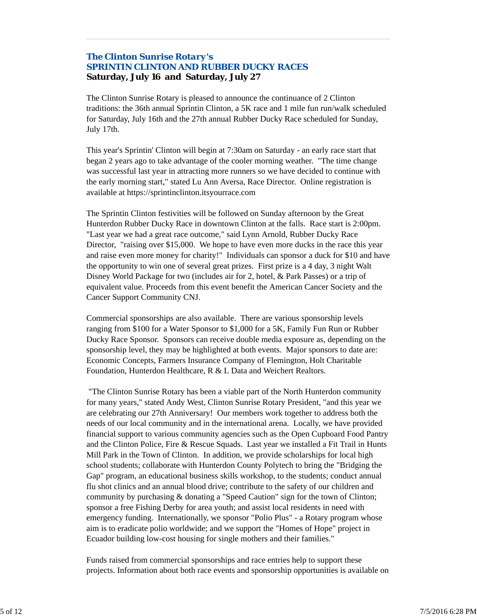## *The Clinton Sunrise Rotary's SPRINTIN CLINTON AND RUBBER DUCKY RACES* **Saturday, July 16 and Saturday, July 27**

The Clinton Sunrise Rotary is pleased to announce the continuance of 2 Clinton traditions: the 36th annual Sprintin Clinton, a 5K race and 1 mile fun run/walk scheduled for Saturday, July 16th and the 27th annual Rubber Ducky Race scheduled for Sunday, July 17th.

This year's Sprintin' Clinton will begin at 7:30am on Saturday - an early race start that began 2 years ago to take advantage of the cooler morning weather. "The time change was successful last year in attracting more runners so we have decided to continue with the early morning start," stated Lu Ann Aversa, Race Director. Online registration is available at https://sprintinclinton.itsyourrace.com

The Sprintin Clinton festivities will be followed on Sunday afternoon by the Great Hunterdon Rubber Ducky Race in downtown Clinton at the falls. Race start is 2:00pm. "Last year we had a great race outcome," said Lynn Arnold, Rubber Ducky Race Director, "raising over \$15,000. We hope to have even more ducks in the race this year and raise even more money for charity!" Individuals can sponsor a duck for \$10 and have the opportunity to win one of several great prizes. First prize is a 4 day, 3 night Walt Disney World Package for two (includes air for 2, hotel, & Park Passes) or a trip of equivalent value. Proceeds from this event benefit the American Cancer Society and the Cancer Support Community CNJ.

Commercial sponsorships are also available. There are various sponsorship levels ranging from \$100 for a Water Sponsor to \$1,000 for a 5K, Family Fun Run or Rubber Ducky Race Sponsor. Sponsors can receive double media exposure as, depending on the sponsorship level, they may be highlighted at both events. Major sponsors to date are: Economic Concepts, Farmers Insurance Company of Flemington, Holt Charitable Foundation, Hunterdon Healthcare, R & L Data and Weichert Realtors.

 "The Clinton Sunrise Rotary has been a viable part of the North Hunterdon community for many years," stated Andy West, Clinton Sunrise Rotary President, "and this year we are celebrating our 27th Anniversary! Our members work together to address both the needs of our local community and in the international arena. Locally, we have provided financial support to various community agencies such as the Open Cupboard Food Pantry and the Clinton Police, Fire & Rescue Squads. Last year we installed a Fit Trail in Hunts Mill Park in the Town of Clinton. In addition, we provide scholarships for local high school students; collaborate with Hunterdon County Polytech to bring the "Bridging the Gap" program, an educational business skills workshop, to the students; conduct annual flu shot clinics and an annual blood drive; contribute to the safety of our children and community by purchasing & donating a "Speed Caution" sign for the town of Clinton; sponsor a free Fishing Derby for area youth; and assist local residents in need with emergency funding. Internationally, we sponsor "Polio Plus" - a Rotary program whose aim is to eradicate polio worldwide; and we support the "Homes of Hope" project in Ecuador building low-cost housing for single mothers and their families."

Funds raised from commercial sponsorships and race entries help to support these projects. Information about both race events and sponsorship opportunities is available on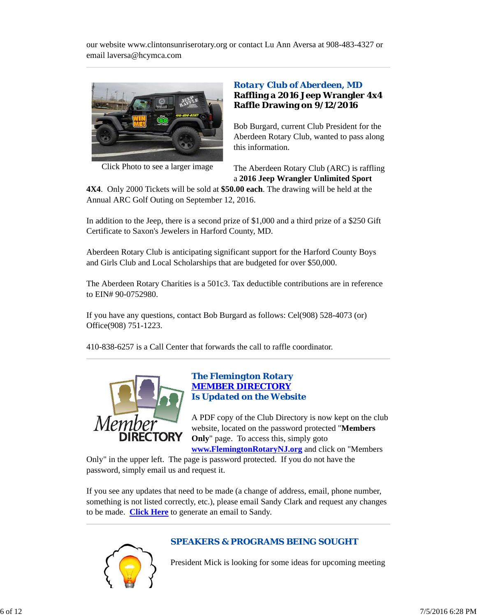our website www.clintonsunriserotary.org or contact Lu Ann Aversa at 908-483-4327 or email laversa@hcymca.com



Click Photo to see a larger image

## *Rotary Club of Aberdeen, MD* **Raffling a 2016 Jeep Wrangler 4x4 Raffle Drawing on 9/12/2016**

Bob Burgard, current Club President for the Aberdeen Rotary Club, wanted to pass along this information.

The Aberdeen Rotary Club (ARC) is raffling a **2016 Jeep Wrangler Unlimited Sport**

**4X4**. Only 2000 Tickets will be sold at **\$50.00 each**. The drawing will be held at the Annual ARC Golf Outing on September 12, 2016.

In addition to the Jeep, there is a second prize of \$1,000 and a third prize of a \$250 Gift Certificate to Saxon's Jewelers in Harford County, MD.

Aberdeen Rotary Club is anticipating significant support for the Harford County Boys and Girls Club and Local Scholarships that are budgeted for over \$50,000.

The Aberdeen Rotary Charities is a 501c3. Tax deductible contributions are in reference to EIN# 90-0752980.

If you have any questions, contact Bob Burgard as follows: Cel(908) 528-4073 (or) Office(908) 751-1223.

410-838-6257 is a Call Center that forwards the call to raffle coordinator.



### *The Flemington Rotary MEMBER DIRECTORY Is Updated on the Website*

A PDF copy of the Club Directory is now kept on the club website, located on the password protected "**Members Only**" page. To access this, simply goto

**www.FlemingtonRotaryNJ.org** and click on "Members

Only" in the upper left. The page is password protected. If you do not have the password, simply email us and request it.

If you see any updates that need to be made (a change of address, email, phone number, something is not listed correctly, etc.), please email Sandy Clark and request any changes to be made. **Click Here** to generate an email to Sandy.



## *SPEAKERS & PROGRAMS BEING SOUGHT*

President Mick is looking for some ideas for upcoming meeting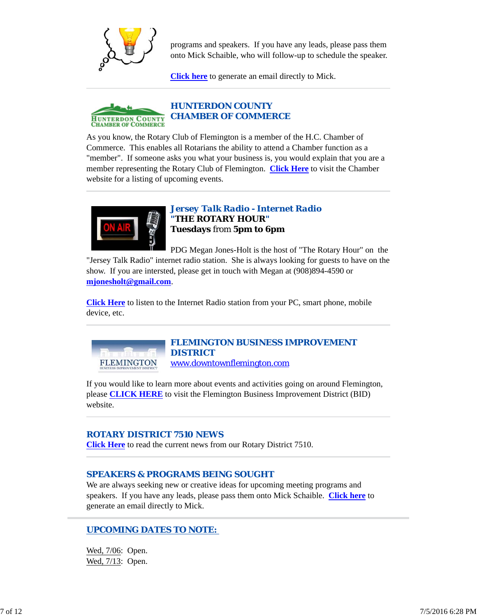

programs and speakers. If you have any leads, please pass them onto Mick Schaible, who will follow-up to schedule the speaker.

**Click here** to generate an email directly to Mick.



As you know, the Rotary Club of Flemington is a member of the H.C. Chamber of Commerce. This enables all Rotarians the ability to attend a Chamber function as a "member". If someone asks you what your business is, you would explain that you are a member representing the Rotary Club of Flemington. **Click Here** to visit the Chamber website for a listing of upcoming events.



### *Jersey Talk Radio - Internet Radio "THE ROTARY HOUR"* **Tuesdays** from **5pm to 6pm**

PDG Megan Jones-Holt is the host of "The Rotary Hour" on the "Jersey Talk Radio" internet radio station. She is always looking for guests to have on the show. If you are intersted, please get in touch with Megan at (908)894-4590 or **mjonesholt@gmail.com**.

**Click Here** to listen to the Internet Radio station from your PC, smart phone, mobile device, etc.



website.

#### *FLEMINGTON BUSINESS IMPROVEMENT DISTRICT* www.downtownflemington.com

If you would like to learn more about events and activities going on around Flemington, please **CLICK HERE** to visit the Flemington Business Improvement District (BID)

## *ROTARY DISTRICT 7510 NEWS*

**Click Here** to read the current news from our Rotary District 7510.

## *SPEAKERS & PROGRAMS BEING SOUGHT*

We are always seeking new or creative ideas for upcoming meeting programs and speakers. If you have any leads, please pass them onto Mick Schaible. **Click here** to generate an email directly to Mick.

## *UPCOMING DATES TO NOTE:*

Wed, 7/06: Open. Wed, 7/13: Open.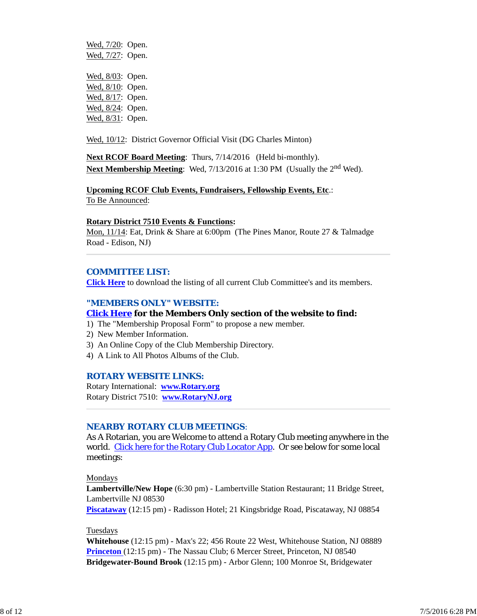Wed,  $7/20$ : Open. Wed, 7/27: Open. Wed, 8/03: Open. Wed, 8/10: Open. Wed, 8/17: Open. Wed, 8/24: Open. Wed, 8/31: Open.

Wed, 10/12: District Governor Official Visit (DG Charles Minton)

**Next RCOF Board Meeting**: Thurs, 7/14/2016 (Held bi-monthly). **Next Membership Meeting:** Wed, 7/13/2016 at 1:30 PM (Usually the 2<sup>nd</sup> Wed).

# **Upcoming RCOF Club Events, Fundraisers, Fellowship Events, Etc**.:

To Be Announced:

#### **Rotary District 7510 Events & Functions:**

Mon, 11/14: Eat, Drink & Share at 6:00pm (The Pines Manor, Route 27 & Talmadge Road - Edison, NJ)

#### *COMMITTEE LIST:*

**Click Here** to download the listing of all current Club Committee's and its members.

#### *"MEMBERS ONLY" WEBSITE:*

### **Click Here for the Members Only section of the website to find:**

- 1) The "Membership Proposal Form" to propose a new member.
- 2) New Member Information.
- 3) An Online Copy of the Club Membership Directory.
- 4) A Link to All Photos Albums of the Club.

#### *ROTARY WEBSITE LINKS:*

Rotary International: **www.Rotary.org** Rotary District 7510: **www.RotaryNJ.org**

#### *NEARBY ROTARY CLUB MEETINGS:*

As A Rotarian, you are Welcome to attend a Rotary Club meeting anywhere in the world. Click here for the Rotary Club Locator App. Or see below for some local meetings:

#### Mondays

**Lambertville/New Hope** (6:30 pm) - Lambertville Station Restaurant; 11 Bridge Street, Lambertville NJ 08530

**Piscataway** (12:15 pm) - Radisson Hotel; 21 Kingsbridge Road, Piscataway, NJ 08854

#### Tuesdays

**Whitehouse** (12:15 pm) - Max's 22; 456 Route 22 West, Whitehouse Station, NJ 08889 **Princeton** (12:15 pm) - The Nassau Club; 6 Mercer Street, Princeton, NJ 08540 **Bridgewater-Bound Brook** (12:15 pm) - Arbor Glenn; 100 Monroe St, Bridgewater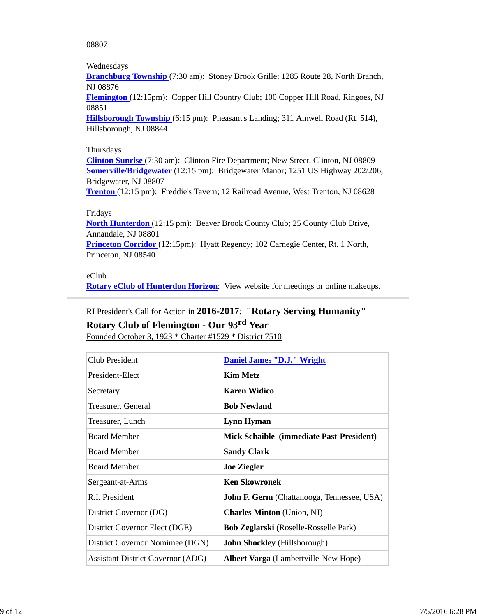08807

#### **Wednesdays**

**Branchburg Township** (7:30 am): Stoney Brook Grille; 1285 Route 28, North Branch, NJ 08876

**Flemington** (12:15pm): Copper Hill Country Club; 100 Copper Hill Road, Ringoes, NJ 08851

**Hillsborough Township** (6:15 pm): Pheasant's Landing; 311 Amwell Road (Rt. 514), Hillsborough, NJ 08844

#### **Thursdays**

**Clinton Sunrise** (7:30 am): Clinton Fire Department; New Street, Clinton, NJ 08809 **Somerville/Bridgewater** (12:15 pm): Bridgewater Manor; 1251 US Highway 202/206, Bridgewater, NJ 08807

**Trenton** (12:15 pm): Freddie's Tavern; 12 Railroad Avenue, West Trenton, NJ 08628

#### Fridays

**North Hunterdon** (12:15 pm): Beaver Brook County Club; 25 County Club Drive, Annandale, NJ 08801

**Princeton Corridor** (12:15pm): Hyatt Regency; 102 Carnegie Center, Rt. 1 North, Princeton, NJ 08540

#### eClub

**Rotary eClub of Hunterdon Horizon**: View website for meetings or online makeups.

## RI President's Call for Action in **2016-2017**: **"Rotary Serving Humanity"**

## **Rotary Club of Flemington - Our 93rd Year**

Founded October 3, 1923 \* Charter #1529 \* District 7510

| <b>Club President</b>                    | <b>Daniel James "D.J." Wright</b>                 |
|------------------------------------------|---------------------------------------------------|
| President-Elect                          | <b>Kim Metz</b>                                   |
| Secretary                                | <b>Karen Widico</b>                               |
| Treasurer, General                       | <b>Bob Newland</b>                                |
| Treasurer, Lunch                         | <b>Lynn Hyman</b>                                 |
| <b>Board Member</b>                      | Mick Schaible (immediate Past-President)          |
| <b>Board Member</b>                      | <b>Sandy Clark</b>                                |
| <b>Board Member</b>                      | <b>Joe Ziegler</b>                                |
| Sergeant-at-Arms                         | <b>Ken Skowronek</b>                              |
| R.I. President                           | <b>John F. Germ</b> (Chattanooga, Tennessee, USA) |
| District Governor (DG)                   | <b>Charles Minton</b> (Union, NJ)                 |
| District Governor Elect (DGE)            | <b>Bob Zeglarski</b> (Roselle-Rosselle Park)      |
| District Governor Nomimee (DGN)          | <b>John Shockley</b> (Hillsborough)               |
| <b>Assistant District Governor (ADG)</b> | <b>Albert Varga</b> (Lambertville-New Hope)       |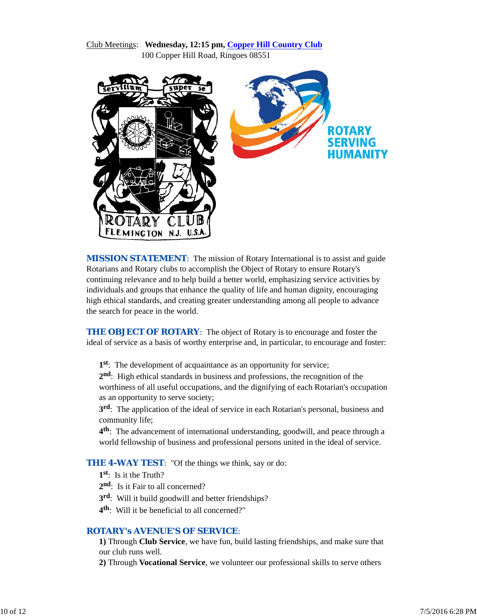#### Club Meetings: **Wednesday, 12:15 pm, Copper Hill Country Club** 100 Copper Hill Road, Ringoes 08551



*MISSION STATEMENT*: The mission of Rotary International is to assist and guide Rotarians and Rotary clubs to accomplish the Object of Rotary to ensure Rotary's continuing relevance and to help build a better world, emphasizing service activities by individuals and groups that enhance the quality of life and human dignity, encouraging high ethical standards, and creating greater understanding among all people to advance the search for peace in the world.

**THE OBJECT OF ROTARY:** The object of Rotary is to encourage and foster the ideal of service as a basis of worthy enterprise and, in particular, to encourage and foster:

**1st**: The development of acquaintance as an opportunity for service;

**2nd**: High ethical standards in business and professions, the recognition of the worthiness of all useful occupations, and the dignifying of each Rotarian's occupation as an opportunity to serve society;

**3rd**: The application of the ideal of service in each Rotarian's personal, business and community life;

**4th**: The advancement of international understanding, goodwill, and peace through a world fellowship of business and professional persons united in the ideal of service.

**THE 4-WAY TEST:** "Of the things we think, say or do:

**1st**: Is it the Truth?

2<sup>nd</sup>: Is it Fair to all concerned?

**3rd**: Will it build goodwill and better friendships?

**4th**: Will it be beneficial to all concerned?"

#### *ROTARY's AVENUE'S OF SERVICE*:

**1)** Through **Club Service**, we have fun, build lasting friendships, and make sure that our club runs well.

**2)** Through **Vocational Service**, we volunteer our professional skills to serve others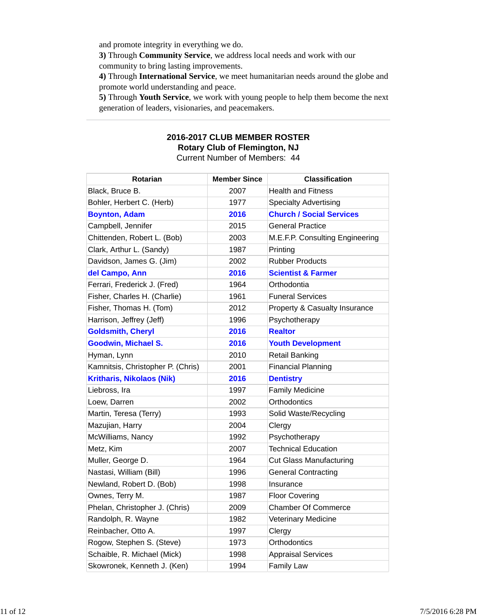and promote integrity in everything we do.

**3)** Through **Community Service**, we address local needs and work with our community to bring lasting improvements.

**4)** Through **International Service**, we meet humanitarian needs around the globe and promote world understanding and peace.

**5)** Through **Youth Service**, we work with young people to help them become the next generation of leaders, visionaries, and peacemakers.

# **2016-2017 CLUB MEMBER ROSTER Rotary Club of Flemington, NJ**

Current Number of Members: 44

| Rotarian                          | <b>Member Since</b> | <b>Classification</b>           |
|-----------------------------------|---------------------|---------------------------------|
| Black, Bruce B.                   | 2007                | <b>Health and Fitness</b>       |
| Bohler, Herbert C. (Herb)         | 1977                | <b>Specialty Advertising</b>    |
| <b>Boynton, Adam</b>              | 2016                | <b>Church / Social Services</b> |
| Campbell, Jennifer                | 2015                | <b>General Practice</b>         |
| Chittenden, Robert L. (Bob)       | 2003                | M.E.F.P. Consulting Engineering |
| Clark, Arthur L. (Sandy)          | 1987                | Printing                        |
| Davidson, James G. (Jim)          | 2002                | <b>Rubber Products</b>          |
| del Campo, Ann                    | 2016                | <b>Scientist &amp; Farmer</b>   |
| Ferrari, Frederick J. (Fred)      | 1964                | Orthodontia                     |
| Fisher, Charles H. (Charlie)      | 1961                | <b>Funeral Services</b>         |
| Fisher, Thomas H. (Tom)           | 2012                | Property & Casualty Insurance   |
| Harrison, Jeffrey (Jeff)          | 1996                | Psychotherapy                   |
| <b>Goldsmith, Cheryl</b>          | 2016                | <b>Realtor</b>                  |
| <b>Goodwin, Michael S.</b>        | 2016                | <b>Youth Development</b>        |
| Hyman, Lynn                       | 2010                | <b>Retail Banking</b>           |
| Kamnitsis, Christopher P. (Chris) | 2001                | <b>Financial Planning</b>       |
| <b>Kritharis, Nikolaos (Nik)</b>  | 2016                | <b>Dentistry</b>                |
| Liebross, Ira                     | 1997                | <b>Family Medicine</b>          |
| Loew, Darren                      | 2002                | Orthodontics                    |
| Martin, Teresa (Terry)            | 1993                | Solid Waste/Recycling           |
| Mazujian, Harry                   | 2004                | Clergy                          |
| McWilliams, Nancy                 | 1992                | Psychotherapy                   |
| Metz, Kim                         | 2007                | <b>Technical Education</b>      |
| Muller, George D.                 | 1964                | <b>Cut Glass Manufacturing</b>  |
| Nastasi, William (Bill)           | 1996                | <b>General Contracting</b>      |
| Newland, Robert D. (Bob)          | 1998                | Insurance                       |
| Ownes, Terry M.                   | 1987                | <b>Floor Covering</b>           |
| Phelan, Christopher J. (Chris)    | 2009                | <b>Chamber Of Commerce</b>      |
| Randolph, R. Wayne                | 1982                | Veterinary Medicine             |
| Reinbacher, Otto A.               | 1997                | Clergy                          |
| Rogow, Stephen S. (Steve)         | 1973                | Orthodontics                    |
| Schaible, R. Michael (Mick)       | 1998                | <b>Appraisal Services</b>       |
| Skowronek, Kenneth J. (Ken)       | 1994                | <b>Family Law</b>               |